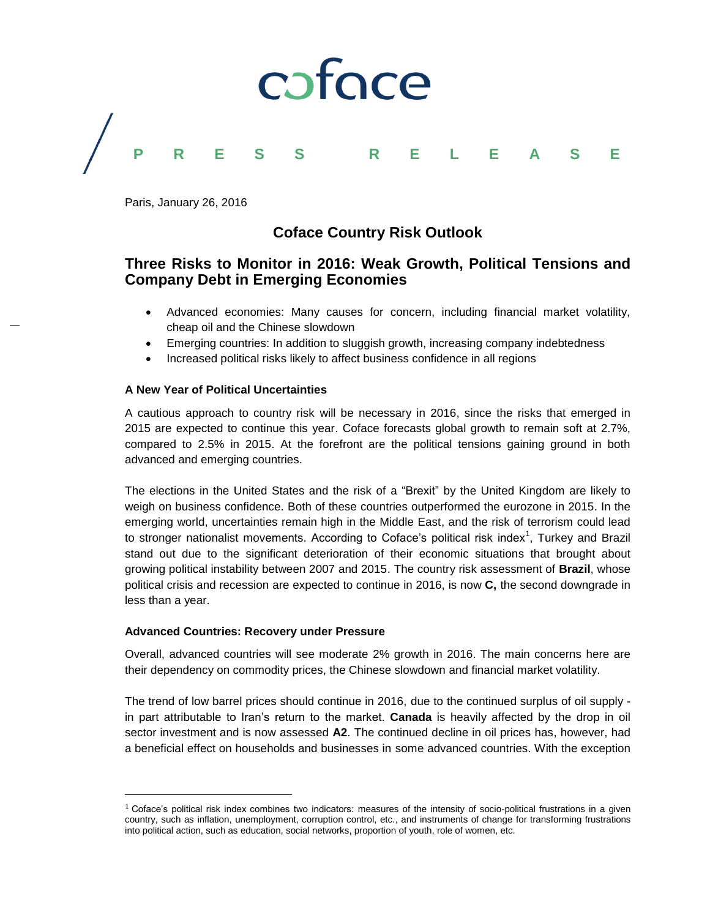

Paris, January 26, 2016

## **Coface Country Risk Outlook**

## **Three Risks to Monitor in 2016: Weak Growth, Political Tensions and Company Debt in Emerging Economies**

- Advanced economies: Many causes for concern, including financial market volatility, cheap oil and the Chinese slowdown
- Emerging countries: In addition to sluggish growth, increasing company indebtedness
- Increased political risks likely to affect business confidence in all regions

### **A New Year of Political Uncertainties**

A cautious approach to country risk will be necessary in 2016, since the risks that emerged in 2015 are expected to continue this year. Coface forecasts global growth to remain soft at 2.7%, compared to 2.5% in 2015. At the forefront are the political tensions gaining ground in both advanced and emerging countries.

The elections in the United States and the risk of a "Brexit" by the United Kingdom are likely to weigh on business confidence. Both of these countries outperformed the eurozone in 2015. In the emerging world, uncertainties remain high in the Middle East, and the risk of terrorism could lead to stronger nationalist movements. According to Coface's political risk index<sup>1</sup>, Turkey and Brazil stand out due to the significant deterioration of their economic situations that brought about growing political instability between 2007 and 2015. The country risk assessment of **Brazil**, whose political crisis and recession are expected to continue in 2016, is now **C,** the second downgrade in less than a year.

### **Advanced Countries: Recovery under Pressure**

l

Overall, advanced countries will see moderate 2% growth in 2016. The main concerns here are their dependency on commodity prices, the Chinese slowdown and financial market volatility.

The trend of low barrel prices should continue in 2016, due to the continued surplus of oil supply in part attributable to Iran's return to the market. **Canada** is heavily affected by the drop in oil sector investment and is now assessed **A2**. The continued decline in oil prices has, however, had a beneficial effect on households and businesses in some advanced countries. With the exception

 $1$  Coface's political risk index combines two indicators: measures of the intensity of socio-political frustrations in a given country, such as inflation, unemployment, corruption control, etc., and instruments of change for transforming frustrations into political action, such as education, social networks, proportion of youth, role of women, etc.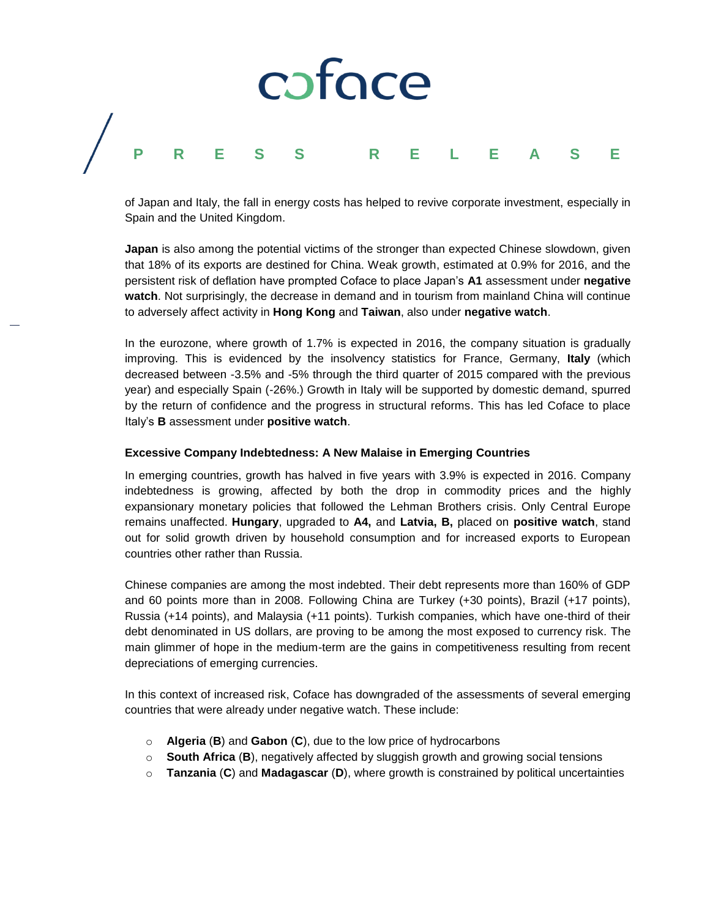# caface **PRESS RELEASE**

of Japan and Italy, the fall in energy costs has helped to revive corporate investment, especially in Spain and the United Kingdom.

**Japan** is also among the potential victims of the stronger than expected Chinese slowdown, given that 18% of its exports are destined for China. Weak growth, estimated at 0.9% for 2016, and the persistent risk of deflation have prompted Coface to place Japan's **A1** assessment under **negative watch**. Not surprisingly, the decrease in demand and in tourism from mainland China will continue to adversely affect activity in **Hong Kong** and **Taiwan**, also under **negative watch**.

In the eurozone, where growth of 1.7% is expected in 2016, the company situation is gradually improving. This is evidenced by the insolvency statistics for France, Germany, **Italy** (which decreased between -3.5% and -5% through the third quarter of 2015 compared with the previous year) and especially Spain (-26%.) Growth in Italy will be supported by domestic demand, spurred by the return of confidence and the progress in structural reforms. This has led Coface to place Italy's **B** assessment under **positive watch**.

### **Excessive Company Indebtedness: A New Malaise in Emerging Countries**

In emerging countries, growth has halved in five years with 3.9% is expected in 2016. Company indebtedness is growing, affected by both the drop in commodity prices and the highly expansionary monetary policies that followed the Lehman Brothers crisis. Only Central Europe remains unaffected. **Hungary**, upgraded to **A4,** and **Latvia, B,** placed on **positive watch**, stand out for solid growth driven by household consumption and for increased exports to European countries other rather than Russia.

Chinese companies are among the most indebted. Their debt represents more than 160% of GDP and 60 points more than in 2008. Following China are Turkey (+30 points), Brazil (+17 points), Russia (+14 points), and Malaysia (+11 points). Turkish companies, which have one-third of their debt denominated in US dollars, are proving to be among the most exposed to currency risk. The main glimmer of hope in the medium-term are the gains in competitiveness resulting from recent depreciations of emerging currencies.

In this context of increased risk, Coface has downgraded of the assessments of several emerging countries that were already under negative watch. These include:

- o **Algeria** (**B**) and **Gabon** (**C**), due to the low price of hydrocarbons
- o **South Africa** (**B**), negatively affected by sluggish growth and growing social tensions
- o **Tanzania** (**C**) and **Madagascar** (**D**), where growth is constrained by political uncertainties